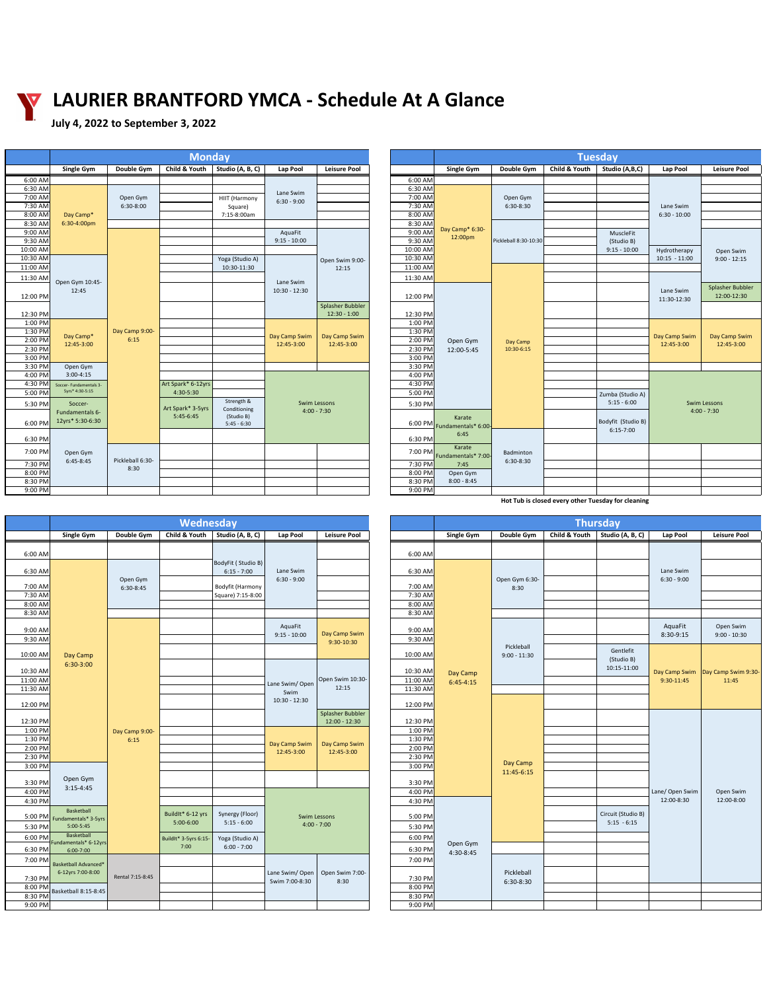**Hot Tub is closed every other Tuesday for cleaning** 

| Child & Youth $\vert$ Studio (A, B, C)<br><b>Child &amp; Youth</b><br>Double Gym<br>Double Gym<br>Studio (A,B,C)<br><b>Single Gym</b><br><b>Leisure Pool</b><br><b>Single Gym</b><br><b>Leisure Pool</b><br>Lap Pool<br>Lap Pool<br>6:00 AM<br>6:00 AM<br>6:30 AM<br>6:30 AM<br>Lane Swim<br>7:00 AM<br>7:00 AM<br>Open Gym<br>Open Gym<br>HIIT (Harmony<br>$6:30 - 9:00$<br>7:30 AM<br>$6:30-8:00$<br>7:30 AM<br>6:30-8:30<br>Lane Swim<br>Square)<br>8:00 AM<br>$6:30 - 10:00$<br>8:00 AM<br>Day Camp*<br>7:15-8:00am<br>8:30 AM<br>6:30-4:00pm<br>8:30 AM<br>Day Camp* 6:30-<br>9:00 AM<br>9:00 AM<br>AquaFit<br>MuscleFit<br>12:00pm<br>9:30 AM<br>9:30 AM<br>$9:15 - 10:00$<br>Pickleball 8:30-10:30<br>(Studio B)<br>10:00 AM<br>10:00 AM<br>$9:15 - 10:00$<br>Hydrotherapy<br>Open Swim<br>10:30 AM<br>10:30 AM<br>Yoga (Studio A)<br>$10:15 - 11:00$<br>$9:00 - 12:15$<br>Open Swim 9:00-<br>11:00 AM<br>11:00 AM<br>10:30-11:30<br>12:15<br>11:30 AM<br>11:30 AM<br>Open Gym 10:45-<br>Lane Swim<br>12:45<br>$10:30 - 12:30$<br>Lane Swim<br>12:00-12:30<br>12:00 PM<br>12:00 PM<br>11:30-12:30<br>Splasher Bubbler<br>12:30 PM<br>$12:30 - 1:00$<br>12:30 PM<br>1:00 PM<br>1:00 PM<br>1:30 PM<br>Day Camp 9:00-<br>1:30 PM<br>Day Camp*<br>Day Camp Swim<br>Day Camp Swim<br>Day Camp Swim<br>Day Camp Swim<br>6:15<br>2:00 PM<br>2:00 PM<br>Open Gym<br>Day Camp<br>12:45-3:00<br>12:45-3:00<br>12:45-3:00<br>12:45-3:00<br>12:45-3:00<br>2:30 PM<br>2:30 PM<br>10:30-6:15<br>12:00-5:45<br>3:00 PM<br>3:00 PM<br>3:30 PM<br>3:30 PM<br>Open Gym<br>$3:00-4:15$<br>4:00 PM<br>4:00 PM<br>4:30 PM<br>4:30 PM<br>Art Spark* 6-12yrs<br>Soccer- Fundamentals 3-<br>5yrs* 4:30-5:15<br>5:00 PM<br>4:30-5:30<br>5:00 PM<br>Zumba (Studio A)<br>Strength &<br>$5:15 - 6:00$<br><b>Swim Lessons</b><br><b>Swim Lessons</b><br>5:30 PM<br>5:30 PM<br>Soccer-<br>Art Spark* 3-5yrs<br>Conditioning<br>$4:00 - 7:30$<br>$4:00 - 7:30$<br>Fundamentals 6-<br>$5:45-6:45$<br>(Studio B)<br>Karate<br>12yrs* 5:30-6:30<br>Bodyfit (Studio B)<br>6:00 PM<br>6:00 PM Fundamentals* 6:00-<br>$5:45 - 6:30$<br>$6:15-7:00$<br>6:45<br>6:30 PM<br>6:30 PM | <b>Monday</b> |  |  |  |  |  | <b>Tuesday</b> |  |  |  |  |                  |
|----------------------------------------------------------------------------------------------------------------------------------------------------------------------------------------------------------------------------------------------------------------------------------------------------------------------------------------------------------------------------------------------------------------------------------------------------------------------------------------------------------------------------------------------------------------------------------------------------------------------------------------------------------------------------------------------------------------------------------------------------------------------------------------------------------------------------------------------------------------------------------------------------------------------------------------------------------------------------------------------------------------------------------------------------------------------------------------------------------------------------------------------------------------------------------------------------------------------------------------------------------------------------------------------------------------------------------------------------------------------------------------------------------------------------------------------------------------------------------------------------------------------------------------------------------------------------------------------------------------------------------------------------------------------------------------------------------------------------------------------------------------------------------------------------------------------------------------------------------------------------------------------------------------------------------------------------------------------------------------------------------------------------------------------------------------------------------------------------------------------------------------------------|---------------|--|--|--|--|--|----------------|--|--|--|--|------------------|
|                                                                                                                                                                                                                                                                                                                                                                                                                                                                                                                                                                                                                                                                                                                                                                                                                                                                                                                                                                                                                                                                                                                                                                                                                                                                                                                                                                                                                                                                                                                                                                                                                                                                                                                                                                                                                                                                                                                                                                                                                                                                                                                                                    |               |  |  |  |  |  |                |  |  |  |  |                  |
|                                                                                                                                                                                                                                                                                                                                                                                                                                                                                                                                                                                                                                                                                                                                                                                                                                                                                                                                                                                                                                                                                                                                                                                                                                                                                                                                                                                                                                                                                                                                                                                                                                                                                                                                                                                                                                                                                                                                                                                                                                                                                                                                                    |               |  |  |  |  |  |                |  |  |  |  |                  |
|                                                                                                                                                                                                                                                                                                                                                                                                                                                                                                                                                                                                                                                                                                                                                                                                                                                                                                                                                                                                                                                                                                                                                                                                                                                                                                                                                                                                                                                                                                                                                                                                                                                                                                                                                                                                                                                                                                                                                                                                                                                                                                                                                    |               |  |  |  |  |  |                |  |  |  |  |                  |
|                                                                                                                                                                                                                                                                                                                                                                                                                                                                                                                                                                                                                                                                                                                                                                                                                                                                                                                                                                                                                                                                                                                                                                                                                                                                                                                                                                                                                                                                                                                                                                                                                                                                                                                                                                                                                                                                                                                                                                                                                                                                                                                                                    |               |  |  |  |  |  |                |  |  |  |  |                  |
|                                                                                                                                                                                                                                                                                                                                                                                                                                                                                                                                                                                                                                                                                                                                                                                                                                                                                                                                                                                                                                                                                                                                                                                                                                                                                                                                                                                                                                                                                                                                                                                                                                                                                                                                                                                                                                                                                                                                                                                                                                                                                                                                                    |               |  |  |  |  |  |                |  |  |  |  |                  |
|                                                                                                                                                                                                                                                                                                                                                                                                                                                                                                                                                                                                                                                                                                                                                                                                                                                                                                                                                                                                                                                                                                                                                                                                                                                                                                                                                                                                                                                                                                                                                                                                                                                                                                                                                                                                                                                                                                                                                                                                                                                                                                                                                    |               |  |  |  |  |  |                |  |  |  |  |                  |
|                                                                                                                                                                                                                                                                                                                                                                                                                                                                                                                                                                                                                                                                                                                                                                                                                                                                                                                                                                                                                                                                                                                                                                                                                                                                                                                                                                                                                                                                                                                                                                                                                                                                                                                                                                                                                                                                                                                                                                                                                                                                                                                                                    |               |  |  |  |  |  |                |  |  |  |  |                  |
|                                                                                                                                                                                                                                                                                                                                                                                                                                                                                                                                                                                                                                                                                                                                                                                                                                                                                                                                                                                                                                                                                                                                                                                                                                                                                                                                                                                                                                                                                                                                                                                                                                                                                                                                                                                                                                                                                                                                                                                                                                                                                                                                                    |               |  |  |  |  |  |                |  |  |  |  |                  |
|                                                                                                                                                                                                                                                                                                                                                                                                                                                                                                                                                                                                                                                                                                                                                                                                                                                                                                                                                                                                                                                                                                                                                                                                                                                                                                                                                                                                                                                                                                                                                                                                                                                                                                                                                                                                                                                                                                                                                                                                                                                                                                                                                    |               |  |  |  |  |  |                |  |  |  |  |                  |
|                                                                                                                                                                                                                                                                                                                                                                                                                                                                                                                                                                                                                                                                                                                                                                                                                                                                                                                                                                                                                                                                                                                                                                                                                                                                                                                                                                                                                                                                                                                                                                                                                                                                                                                                                                                                                                                                                                                                                                                                                                                                                                                                                    |               |  |  |  |  |  |                |  |  |  |  |                  |
|                                                                                                                                                                                                                                                                                                                                                                                                                                                                                                                                                                                                                                                                                                                                                                                                                                                                                                                                                                                                                                                                                                                                                                                                                                                                                                                                                                                                                                                                                                                                                                                                                                                                                                                                                                                                                                                                                                                                                                                                                                                                                                                                                    |               |  |  |  |  |  |                |  |  |  |  |                  |
|                                                                                                                                                                                                                                                                                                                                                                                                                                                                                                                                                                                                                                                                                                                                                                                                                                                                                                                                                                                                                                                                                                                                                                                                                                                                                                                                                                                                                                                                                                                                                                                                                                                                                                                                                                                                                                                                                                                                                                                                                                                                                                                                                    |               |  |  |  |  |  |                |  |  |  |  |                  |
|                                                                                                                                                                                                                                                                                                                                                                                                                                                                                                                                                                                                                                                                                                                                                                                                                                                                                                                                                                                                                                                                                                                                                                                                                                                                                                                                                                                                                                                                                                                                                                                                                                                                                                                                                                                                                                                                                                                                                                                                                                                                                                                                                    |               |  |  |  |  |  |                |  |  |  |  |                  |
|                                                                                                                                                                                                                                                                                                                                                                                                                                                                                                                                                                                                                                                                                                                                                                                                                                                                                                                                                                                                                                                                                                                                                                                                                                                                                                                                                                                                                                                                                                                                                                                                                                                                                                                                                                                                                                                                                                                                                                                                                                                                                                                                                    |               |  |  |  |  |  |                |  |  |  |  | Splasher Bubbler |
|                                                                                                                                                                                                                                                                                                                                                                                                                                                                                                                                                                                                                                                                                                                                                                                                                                                                                                                                                                                                                                                                                                                                                                                                                                                                                                                                                                                                                                                                                                                                                                                                                                                                                                                                                                                                                                                                                                                                                                                                                                                                                                                                                    |               |  |  |  |  |  |                |  |  |  |  |                  |
|                                                                                                                                                                                                                                                                                                                                                                                                                                                                                                                                                                                                                                                                                                                                                                                                                                                                                                                                                                                                                                                                                                                                                                                                                                                                                                                                                                                                                                                                                                                                                                                                                                                                                                                                                                                                                                                                                                                                                                                                                                                                                                                                                    |               |  |  |  |  |  |                |  |  |  |  |                  |
|                                                                                                                                                                                                                                                                                                                                                                                                                                                                                                                                                                                                                                                                                                                                                                                                                                                                                                                                                                                                                                                                                                                                                                                                                                                                                                                                                                                                                                                                                                                                                                                                                                                                                                                                                                                                                                                                                                                                                                                                                                                                                                                                                    |               |  |  |  |  |  |                |  |  |  |  |                  |
|                                                                                                                                                                                                                                                                                                                                                                                                                                                                                                                                                                                                                                                                                                                                                                                                                                                                                                                                                                                                                                                                                                                                                                                                                                                                                                                                                                                                                                                                                                                                                                                                                                                                                                                                                                                                                                                                                                                                                                                                                                                                                                                                                    |               |  |  |  |  |  |                |  |  |  |  |                  |
|                                                                                                                                                                                                                                                                                                                                                                                                                                                                                                                                                                                                                                                                                                                                                                                                                                                                                                                                                                                                                                                                                                                                                                                                                                                                                                                                                                                                                                                                                                                                                                                                                                                                                                                                                                                                                                                                                                                                                                                                                                                                                                                                                    |               |  |  |  |  |  |                |  |  |  |  |                  |
|                                                                                                                                                                                                                                                                                                                                                                                                                                                                                                                                                                                                                                                                                                                                                                                                                                                                                                                                                                                                                                                                                                                                                                                                                                                                                                                                                                                                                                                                                                                                                                                                                                                                                                                                                                                                                                                                                                                                                                                                                                                                                                                                                    |               |  |  |  |  |  |                |  |  |  |  |                  |
|                                                                                                                                                                                                                                                                                                                                                                                                                                                                                                                                                                                                                                                                                                                                                                                                                                                                                                                                                                                                                                                                                                                                                                                                                                                                                                                                                                                                                                                                                                                                                                                                                                                                                                                                                                                                                                                                                                                                                                                                                                                                                                                                                    |               |  |  |  |  |  |                |  |  |  |  |                  |
|                                                                                                                                                                                                                                                                                                                                                                                                                                                                                                                                                                                                                                                                                                                                                                                                                                                                                                                                                                                                                                                                                                                                                                                                                                                                                                                                                                                                                                                                                                                                                                                                                                                                                                                                                                                                                                                                                                                                                                                                                                                                                                                                                    |               |  |  |  |  |  |                |  |  |  |  |                  |
|                                                                                                                                                                                                                                                                                                                                                                                                                                                                                                                                                                                                                                                                                                                                                                                                                                                                                                                                                                                                                                                                                                                                                                                                                                                                                                                                                                                                                                                                                                                                                                                                                                                                                                                                                                                                                                                                                                                                                                                                                                                                                                                                                    |               |  |  |  |  |  |                |  |  |  |  |                  |
|                                                                                                                                                                                                                                                                                                                                                                                                                                                                                                                                                                                                                                                                                                                                                                                                                                                                                                                                                                                                                                                                                                                                                                                                                                                                                                                                                                                                                                                                                                                                                                                                                                                                                                                                                                                                                                                                                                                                                                                                                                                                                                                                                    |               |  |  |  |  |  |                |  |  |  |  |                  |
|                                                                                                                                                                                                                                                                                                                                                                                                                                                                                                                                                                                                                                                                                                                                                                                                                                                                                                                                                                                                                                                                                                                                                                                                                                                                                                                                                                                                                                                                                                                                                                                                                                                                                                                                                                                                                                                                                                                                                                                                                                                                                                                                                    |               |  |  |  |  |  |                |  |  |  |  |                  |
|                                                                                                                                                                                                                                                                                                                                                                                                                                                                                                                                                                                                                                                                                                                                                                                                                                                                                                                                                                                                                                                                                                                                                                                                                                                                                                                                                                                                                                                                                                                                                                                                                                                                                                                                                                                                                                                                                                                                                                                                                                                                                                                                                    |               |  |  |  |  |  |                |  |  |  |  |                  |
|                                                                                                                                                                                                                                                                                                                                                                                                                                                                                                                                                                                                                                                                                                                                                                                                                                                                                                                                                                                                                                                                                                                                                                                                                                                                                                                                                                                                                                                                                                                                                                                                                                                                                                                                                                                                                                                                                                                                                                                                                                                                                                                                                    |               |  |  |  |  |  |                |  |  |  |  |                  |
|                                                                                                                                                                                                                                                                                                                                                                                                                                                                                                                                                                                                                                                                                                                                                                                                                                                                                                                                                                                                                                                                                                                                                                                                                                                                                                                                                                                                                                                                                                                                                                                                                                                                                                                                                                                                                                                                                                                                                                                                                                                                                                                                                    |               |  |  |  |  |  |                |  |  |  |  |                  |
|                                                                                                                                                                                                                                                                                                                                                                                                                                                                                                                                                                                                                                                                                                                                                                                                                                                                                                                                                                                                                                                                                                                                                                                                                                                                                                                                                                                                                                                                                                                                                                                                                                                                                                                                                                                                                                                                                                                                                                                                                                                                                                                                                    |               |  |  |  |  |  |                |  |  |  |  |                  |
|                                                                                                                                                                                                                                                                                                                                                                                                                                                                                                                                                                                                                                                                                                                                                                                                                                                                                                                                                                                                                                                                                                                                                                                                                                                                                                                                                                                                                                                                                                                                                                                                                                                                                                                                                                                                                                                                                                                                                                                                                                                                                                                                                    |               |  |  |  |  |  |                |  |  |  |  |                  |
|                                                                                                                                                                                                                                                                                                                                                                                                                                                                                                                                                                                                                                                                                                                                                                                                                                                                                                                                                                                                                                                                                                                                                                                                                                                                                                                                                                                                                                                                                                                                                                                                                                                                                                                                                                                                                                                                                                                                                                                                                                                                                                                                                    |               |  |  |  |  |  |                |  |  |  |  |                  |
| Karate<br>7:00 PM<br>7:00 PM<br>Badminton<br>Open Gym<br>Fundamentals* 7:00-                                                                                                                                                                                                                                                                                                                                                                                                                                                                                                                                                                                                                                                                                                                                                                                                                                                                                                                                                                                                                                                                                                                                                                                                                                                                                                                                                                                                                                                                                                                                                                                                                                                                                                                                                                                                                                                                                                                                                                                                                                                                       |               |  |  |  |  |  |                |  |  |  |  |                  |
| Pickleball 6:30-<br>$6:45-8:45$<br>6:30-8:30<br>7:30 PM<br>7:30 PM<br>7:45                                                                                                                                                                                                                                                                                                                                                                                                                                                                                                                                                                                                                                                                                                                                                                                                                                                                                                                                                                                                                                                                                                                                                                                                                                                                                                                                                                                                                                                                                                                                                                                                                                                                                                                                                                                                                                                                                                                                                                                                                                                                         |               |  |  |  |  |  |                |  |  |  |  |                  |
| 8:30<br>8:00 PM<br>8:00 PM<br>Open Gym                                                                                                                                                                                                                                                                                                                                                                                                                                                                                                                                                                                                                                                                                                                                                                                                                                                                                                                                                                                                                                                                                                                                                                                                                                                                                                                                                                                                                                                                                                                                                                                                                                                                                                                                                                                                                                                                                                                                                                                                                                                                                                             |               |  |  |  |  |  |                |  |  |  |  |                  |
| $8:00 - 8:45$<br>8:30 PM<br>8:30 PM                                                                                                                                                                                                                                                                                                                                                                                                                                                                                                                                                                                                                                                                                                                                                                                                                                                                                                                                                                                                                                                                                                                                                                                                                                                                                                                                                                                                                                                                                                                                                                                                                                                                                                                                                                                                                                                                                                                                                                                                                                                                                                                |               |  |  |  |  |  |                |  |  |  |  |                  |
| 9:00 PM<br>$9:00$ PM                                                                                                                                                                                                                                                                                                                                                                                                                                                                                                                                                                                                                                                                                                                                                                                                                                                                                                                                                                                                                                                                                                                                                                                                                                                                                                                                                                                                                                                                                                                                                                                                                                                                                                                                                                                                                                                                                                                                                                                                                                                                                                                               |               |  |  |  |  |  |                |  |  |  |  |                  |

| <b>Single Gym</b>                            | Double Gym             | Child & Youth                 | Studio (A, B, C)                 | <b>Lap Pool</b>                           | <b>Leisure Pool</b>                        |                      | <b>Single Gym</b> | Double Gym     | <b>Child &amp; Youth</b> | Studio (A, B, C)          | <b>Lap Pool</b>      | <b>Leisure Pool</b>               |  |
|----------------------------------------------|------------------------|-------------------------------|----------------------------------|-------------------------------------------|--------------------------------------------|----------------------|-------------------|----------------|--------------------------|---------------------------|----------------------|-----------------------------------|--|
|                                              |                        |                               |                                  |                                           |                                            |                      |                   |                |                          |                           |                      |                                   |  |
|                                              |                        |                               | BodyFit (Studio B)               |                                           |                                            | 6:00 AM              |                   |                |                          |                           |                      |                                   |  |
|                                              |                        |                               | $6:15 - 7:00$                    | Lane Swim                                 |                                            | $6:30$ AM            |                   |                |                          |                           | Lane Swim            |                                   |  |
|                                              | Open Gym               |                               |                                  | $6:30 - 9:00$                             |                                            |                      |                   | Open Gym 6:30- |                          |                           | $6:30 - 9:00$        |                                   |  |
|                                              | $6:30-8:45$            |                               | Bodyfit (Harmony                 |                                           |                                            | 7:00 AM              |                   | 8:30           |                          |                           |                      |                                   |  |
|                                              |                        |                               | Square) 7:15-8:00                |                                           |                                            | 7:30 AM<br>8:00 AM   |                   |                |                          |                           |                      |                                   |  |
|                                              |                        |                               |                                  |                                           |                                            | 8:30 AM              |                   |                |                          |                           |                      |                                   |  |
|                                              |                        |                               |                                  |                                           |                                            |                      |                   |                |                          |                           | AquaFit<br>8:30-9:15 |                                   |  |
|                                              |                        |                               |                                  | AquaFit<br>$9:15 - 10:00$                 | Day Camp Swim                              | 9:00 AM              |                   |                |                          |                           |                      | Open Swim<br>$9:00 - 10:30$       |  |
|                                              |                        |                               |                                  |                                           | 9:30-10:30                                 | 9:30 AM              |                   | Pickleball     |                          |                           |                      |                                   |  |
| Day Camp                                     |                        |                               |                                  |                                           |                                            | 10:00 AM             |                   | $9:00 - 11:30$ |                          | Gentlefit                 | 9:30-11:45           |                                   |  |
| $6:30-3:00$                                  |                        |                               |                                  | Lane Swim/Open<br>Swim<br>$10:30 - 12:30$ | Open Swim 10:30-<br>12:15                  |                      |                   |                |                          | (Studio B)<br>10:15-11:00 |                      | Day Camp Swim Day Camp Swim 9:30- |  |
|                                              | Day Camp 9:00-<br>6:15 |                               |                                  |                                           |                                            | 10:30 AM             | Day Camp          |                |                          |                           |                      |                                   |  |
|                                              |                        |                               |                                  |                                           |                                            | 11:00 AM<br>11:30 AM | $6:45-4:15$       |                |                          |                           |                      | 11:45                             |  |
|                                              |                        |                               |                                  |                                           |                                            |                      |                   |                |                          |                           |                      |                                   |  |
|                                              |                        |                               |                                  |                                           |                                            | 12:00 PM             |                   |                |                          |                           |                      |                                   |  |
|                                              |                        |                               |                                  |                                           | <b>Splasher Bubbler</b><br>$12:00 - 12:30$ | 12:30 PM             |                   |                |                          |                           |                      |                                   |  |
|                                              |                        |                               |                                  | Day Camp Swim<br>12:45-3:00               | Day Camp Swim<br>12:45-3:00                | 1:00 PM              |                   |                |                          |                           |                      |                                   |  |
|                                              |                        |                               |                                  |                                           |                                            | 1:30 PM              |                   |                |                          |                           |                      |                                   |  |
|                                              |                        |                               |                                  |                                           |                                            |                      | 2:00 PM           |                |                          |                           |                      |                                   |  |
|                                              |                        |                               |                                  |                                           |                                            |                      | 2:30 PM           |                | Day Camp                 |                           |                      |                                   |  |
|                                              |                        |                               |                                  |                                           |                                            | 3:00 PM              |                   | 11:45-6:15     |                          |                           | Lane/ Open Swim      | Open Swim                         |  |
| Open Gym                                     |                        |                               |                                  |                                           |                                            | 3:30 PM              |                   |                |                          |                           |                      |                                   |  |
| $3:15-4:45$                                  |                        |                               |                                  |                                           |                                            | 4:00 PM              |                   |                |                          |                           |                      |                                   |  |
|                                              |                        |                               |                                  | 4:30 PM                                   |                                            |                      |                   |                | 12:00-8:30               | 12:00-8:00                |                      |                                   |  |
| Basketball                                   |                        | BuildIt* 6-12 yrs             | Synergy (Floor)                  |                                           | <b>Swim Lessons</b>                        | 5:00 PM              |                   |                |                          | Circuit (Studio B)        |                      |                                   |  |
| damentals* 3-5yrs<br>5:00-5:45<br>Basketball |                        | $5:00-6:00$                   | $5:15 - 6:00$                    |                                           | $4:00 - 7:00$                              | 5:30 PM              |                   |                |                          | $5:15 - 6:15$             |                      |                                   |  |
|                                              |                        |                               |                                  |                                           |                                            | 6:00 PM              |                   |                |                          |                           |                      |                                   |  |
| amentals* 6-12yrs                            |                        | BuildIt* 3-5yrs 6:15-<br>7:00 | Yoga (Studio A)<br>$6:00 - 7:00$ |                                           |                                            |                      | Open Gym          |                |                          |                           |                      |                                   |  |
| 6:00-7:00<br>etball Advanced*                |                        |                               |                                  |                                           |                                            | 6:30 PM              | 4:30-8:45         |                |                          |                           |                      |                                   |  |
|                                              |                        |                               |                                  |                                           | Open Swim 7:00-<br>8:30                    | 7:00 PM              |                   |                |                          |                           |                      |                                   |  |
| 12yrs 7:00-8:00                              | Rental 7:15-8:45       |                               |                                  | Lane Swim/Open                            |                                            | 7:30 PM              |                   | Pickleball     |                          |                           |                      |                                   |  |
|                                              |                        |                               |                                  | Swim 7:00-8:30                            |                                            | 8:00 PM              |                   | 6:30-8:30      |                          |                           |                      |                                   |  |
| etball 8:15-8:45                             |                        |                               |                                  |                                           |                                            | 8:30 PM              |                   |                |                          |                           |                      |                                   |  |
|                                              |                        |                               |                                  |                                           |                                            | 9:00 PM              |                   |                |                          |                           |                      |                                   |  |

|           | Single Gym                                                                                                 | Double Gym             | Child & Youth         | Studio (A, B, C)                    | Lap Pool                    | Leisure Pool                        |          |
|-----------|------------------------------------------------------------------------------------------------------------|------------------------|-----------------------|-------------------------------------|-----------------------------|-------------------------------------|----------|
| 6:00 AM   |                                                                                                            |                        |                       |                                     |                             |                                     | 6:00 AM  |
| 6:30 AM   |                                                                                                            |                        |                       | BodyFit (Studio B)<br>$6:15 - 7:00$ | Lane Swim                   |                                     | 6:30 AM  |
| 7:00 AM   |                                                                                                            | Open Gym<br>6:30-8:45  |                       | Bodyfit (Harmony                    | $6:30 - 9:00$               |                                     | 7:00 AM  |
| 7:30 AM   |                                                                                                            |                        |                       | Square) 7:15-8:00                   |                             |                                     | 7:30 AM  |
| 8:00 AM   |                                                                                                            |                        |                       |                                     |                             |                                     | 8:00 AM  |
| 8:30 AM   |                                                                                                            |                        |                       |                                     |                             |                                     | 8:30 AM  |
|           |                                                                                                            |                        |                       |                                     |                             |                                     |          |
| $9:00$ AM |                                                                                                            |                        |                       |                                     | AquaFit<br>$9:15 - 10:00$   | Day Camp Swim                       | 9:00 AM  |
| 9:30 AM   |                                                                                                            |                        |                       |                                     |                             | 9:30-10:30                          | 9:30 AM  |
| 10:00 AM  | Day Camp                                                                                                   |                        |                       |                                     |                             |                                     | 10:00 AM |
| 10:30 AM  | 6:30-3:00                                                                                                  |                        |                       |                                     |                             |                                     | 10:30 AM |
| 11:00 AM  |                                                                                                            |                        |                       |                                     | Lane Swim/Open<br>Swim      | Open Swim 10:30-                    | 11:00 AM |
| 11:30 AM  |                                                                                                            | Day Camp 9:00-<br>6:15 |                       |                                     |                             | 12:15                               | 11:30 AM |
| 12:00 PM  |                                                                                                            |                        |                       |                                     | 10:30 - 12:30               |                                     | 12:00 PM |
| 12:30 PM  |                                                                                                            |                        |                       |                                     |                             | Splasher Bubbler<br>$12:00 - 12:30$ | 12:30 PM |
| 1:00 PM   |                                                                                                            |                        |                       |                                     | Day Camp Swim<br>12:45-3:00 |                                     | 1:00 PM  |
| 1:30 PM   |                                                                                                            |                        |                       |                                     |                             | Day Camp Swim<br>12:45-3:00         | 1:30 PM  |
| 2:00 PM   |                                                                                                            |                        |                       |                                     |                             |                                     | 2:00 PM  |
| 2:30 PM   |                                                                                                            |                        |                       |                                     |                             |                                     | 2:30 PM  |
| 3:00 PM   |                                                                                                            |                        |                       |                                     |                             |                                     | 3:00 PM  |
| 3:30 PM   | Open Gym                                                                                                   |                        |                       |                                     |                             |                                     | 3:30 PM  |
| 4:00 PM   |                                                                                                            | $3:15-4:45$            |                       |                                     |                             |                                     | 4:00 PM  |
| 4:30 PM   |                                                                                                            |                        |                       |                                     |                             |                                     | 4:30 PM  |
| $5:00$ PM | <b>Basketball</b><br>Fundamentals* 3-5yrs<br>5:00-5:45<br>Basketball<br>Fundamentals* 6-12yrs<br>6:00-7:00 |                        | BuildIt* 6-12 yrs     | Synergy (Floor)                     |                             | <b>Swim Lessons</b>                 | 5:00 PM  |
| 5:30 PM   |                                                                                                            |                        | 5:00-6:00             | $5:15 - 6:00$                       |                             | $4:00 - 7:00$                       | 5:30 PM  |
| $6:00$ PM |                                                                                                            |                        | BuildIt* 3-5yrs 6:15- | Yoga (Studio A)                     |                             |                                     | 6:00 PM  |
| 6:30 PM   |                                                                                                            |                        | 7:00                  | $6:00 - 7:00$                       |                             |                                     | 6:30 PM  |
| 7:00 PM   |                                                                                                            |                        |                       |                                     |                             |                                     | 7:00 PM  |
| 7:30 PM   | <b>Basketball Advanced*</b><br>6-12yrs 7:00-8:00                                                           | Rental 7:15-8:45       |                       |                                     | Lane Swim/Open              | Open Swim 7:00-                     | 7:30 PM  |
| 8:00 PM   |                                                                                                            |                        |                       |                                     | Swim 7:00-8:30              | 8:30                                | 8:00 PM  |
| 8:30 PM   | Basketball 8:15-8:45                                                                                       |                        |                       |                                     |                             |                                     | 8:30 PM  |
| $9:00$ PM |                                                                                                            |                        |                       |                                     |                             |                                     | 9:00 PM  |
|           |                                                                                                            |                        |                       |                                     |                             |                                     |          |



## **LAURIER BRANTFORD YMCA - Schedule At A Glance**

**July 4, 2022 to September 3, 2022**

**Wednesday Thursday**